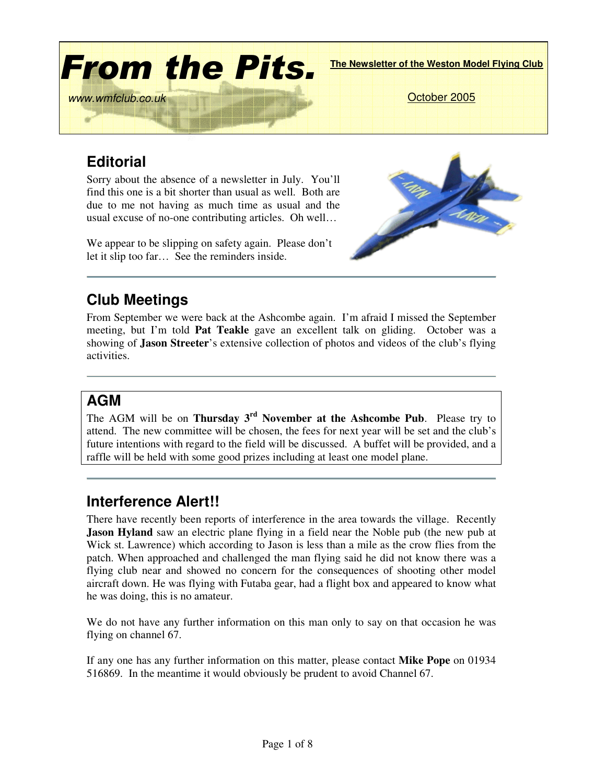

## **Editorial**

Sorry about the absence of a newsletter in July. You'll find this one is a bit shorter than usual as well. Both are due to me not having as much time as usual and the usual excuse of no-one contributing articles. Oh well…

We appear to be slipping on safety again. Please don't let it slip too far… See the reminders inside.



## **Club Meetings**

From September we were back at the Ashcombe again. I'm afraid I missed the September meeting, but I'm told **Pat Teakle** gave an excellent talk on gliding. October was a showing of **Jason Streeter**'s extensive collection of photos and videos of the club's flying activities.

#### **AGM**

The AGM will be on **Thursday 3 rd November at the Ashcombe Pub**. Please try to attend. The new committee will be chosen, the fees for next year will be set and the club's future intentions with regard to the field will be discussed. A buffet will be provided, and a raffle will be held with some good prizes including at least one model plane.

## **Interference Alert!!**

There have recently been reports of interference in the area towards the village. Recently **Jason Hyland** saw an electric plane flying in a field near the Noble pub (the new pub at Wick st. Lawrence) which according to Jason is less than a mile as the crow flies from the patch. When approached and challenged the man flying said he did not know there was a flying club near and showed no concern for the consequences of shooting other model aircraft down. He was flying with Futaba gear, had a flight box and appeared to know what he was doing, this is no amateur.

We do not have any further information on this man only to say on that occasion he was flying on channel 67.

If any one has any further information on this matter, please contact **Mike Pope** on 01934 516869. In the meantime it would obviously be prudent to avoid Channel 67.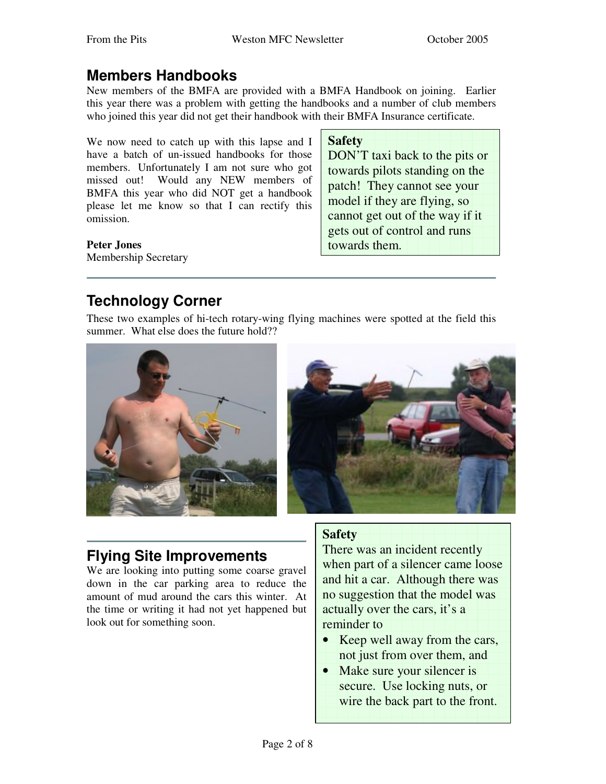#### **Members Handbooks**

New members of the BMFA are provided with a BMFA Handbook on joining. Earlier this year there was a problem with getting the handbooks and a number of club members who joined this year did not get their handbook with their BMFA Insurance certificate.

We now need to catch up with this lapse and I have a batch of un-issued handbooks for those members. Unfortunately I am not sure who got missed out! Would any NEW members of BMFA this year who did NOT get a handbook please let me know so that I can rectify this omission.

**Safety** DON'T taxi back to the pits or towards pilots standing on the patch! They cannot see your model if they are flying, so cannot get out of the way if it gets out of control and runs towards them.

#### **Peter Jones**

Membership Secretary

## **Technology Corner**

These two examples of hi-tech rotary-wing flying machines were spotted at the field this summer. What else does the future hold??





#### **Flying Site Improvements**

We are looking into putting some coarse gravel down in the car parking area to reduce the amount of mud around the cars this winter. At the time or writing it had not yet happened but look out for something soon.

#### **Safety**

There was an incident recently when part of a silencer came loose and hit a car. Although there was no suggestion that the model was actually over the cars, it's a reminder to

- Keep well away from the cars, not just from over them, and
- Make sure your silencer is secure. Use locking nuts, or wire the back part to the front.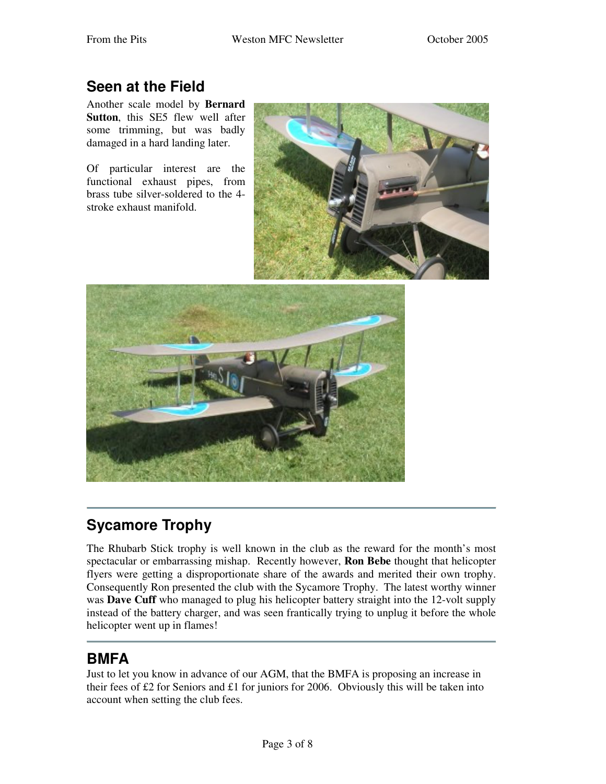## **Seen at the Field**

Another scale model by **Bernard Sutton**, this SE5 flew well after some trimming, but was badly damaged in a hard landing later.

Of particular interest are the functional exhaust pipes, from brass tube silver-soldered to the 4 stroke exhaust manifold.





# **Sycamore Trophy**

The Rhubarb Stick trophy is well known in the club as the reward for the month's most spectacular or embarrassing mishap. Recently however, **Ron Bebe** thought that helicopter flyers were getting a disproportionate share of the awards and merited their own trophy. Consequently Ron presented the club with the Sycamore Trophy. The latest worthy winner was **Dave Cuff** who managed to plug his helicopter battery straight into the 12-volt supply instead of the battery charger, and was seen frantically trying to unplug it before the whole helicopter went up in flames!

## **BMFA**

Just to let you know in advance of our AGM, that the BMFA is proposing an increase in their fees of £2 for Seniors and £1 for juniors for 2006. Obviously this will be taken into account when setting the club fees.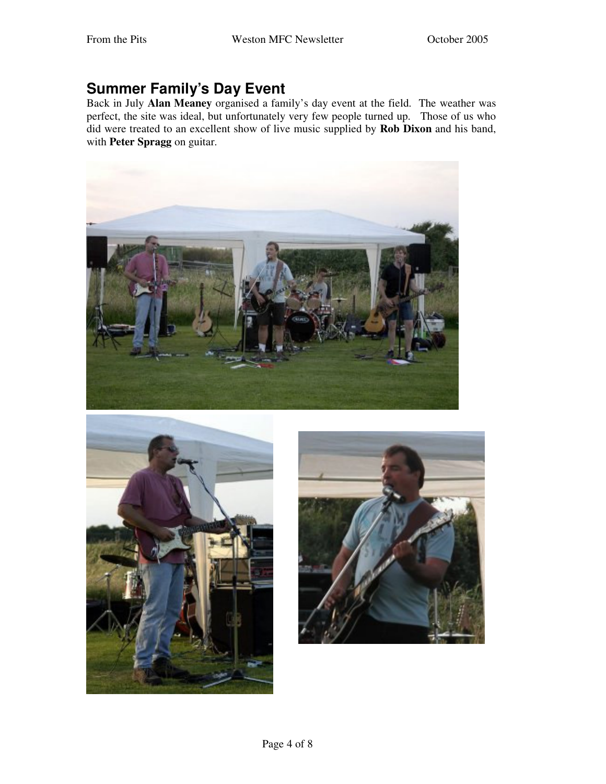#### **Summer Family's Day Event**

Back in July **Alan Meaney** organised a family's day event at the field. The weather was perfect, the site was ideal, but unfortunately very few people turned up. Those of us who did were treated to an excellent show of live music supplied by **Rob Dixon** and his band, with **Peter Spragg** on guitar.





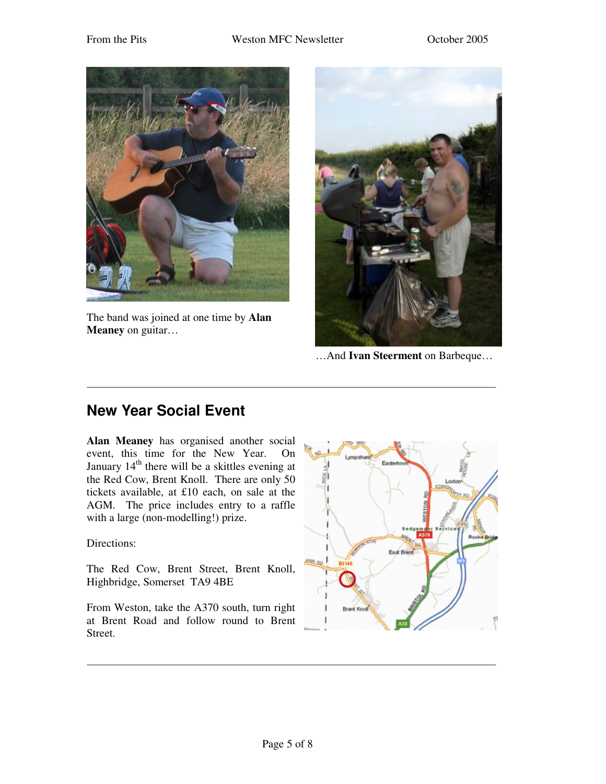

The band was joined at one time by **Alan Meaney** on guitar…



…And **Ivan Steerment** on Barbeque…

#### **New Year Social Event**

**Alan Meaney** has organised another social event, this time for the New Year. On January 14<sup>th</sup> there will be a skittles evening at the Red Cow, Brent Knoll. There are only 50 tickets available, at £10 each, on sale at the AGM. The price includes entry to a raffle with a large (non-modelling!) prize.

Directions:

The Red Cow, Brent Street, Brent Knoll, Highbridge, Somerset TA9 4BE

From Weston, take the A370 south, turn right at Brent Road and follow round to Brent Street.

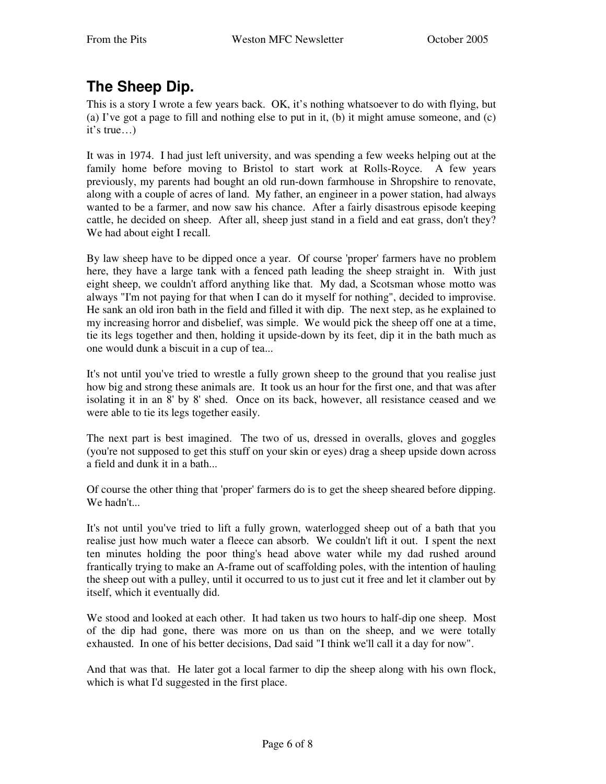## **The Sheep Dip.**

This is a story I wrote a few years back. OK, it's nothing whatsoever to do with flying, but (a) I've got a page to fill and nothing else to put in it, (b) it might amuse someone, and (c) it's true…)

It was in 1974. I had just left university, and was spending a few weeks helping out at the family home before moving to Bristol to start work at Rolls-Royce. A few years previously, my parents had bought an old run-down farmhouse in Shropshire to renovate, along with a couple of acres of land. My father, an engineer in a power station, had always wanted to be a farmer, and now saw his chance. After a fairly disastrous episode keeping cattle, he decided on sheep. After all, sheep just stand in a field and eat grass, don't they? We had about eight I recall.

By law sheep have to be dipped once a year. Of course 'proper'farmers have no problem here, they have a large tank with a fenced path leading the sheep straight in. With just eight sheep, we couldn't afford anything like that. My dad, a Scotsman whose motto was always "I'm not paying for that when I can do it myself for nothing", decided to improvise. He sank an old iron bath in the field and filled it with dip. The next step, as he explained to my increasing horror and disbelief, was simple. We would pick the sheep off one at a time, tie its legs together and then, holding it upside-down by its feet, dip it in the bath much as one would dunk a biscuit in a cup of tea...

It's not until you've tried to wrestle a fully grown sheep to the ground that you realise just how big and strong these animals are. It took us an hour for the first one, and that was after isolating it in an 8'by 8'shed. Once on its back, however, all resistance ceased and we were able to tie its legs together easily.

The next part is best imagined. The two of us, dressed in overalls, gloves and goggles (you're not supposed to get this stuff on your skin or eyes) drag a sheep upside down across a field and dunk it in a bath...

Of course the other thing that 'proper'farmers do is to get the sheep sheared before dipping. We hadn't...

It's not until you've tried to lift a fully grown, waterlogged sheep out of a bath that you realise just how much water a fleece can absorb. We couldn't lift it out. I spent the next ten minutes holding the poor thing's head above water while my dad rushed around frantically trying to make an A-frame out of scaffolding poles, with the intention of hauling the sheep out with a pulley, until it occurred to us to just cut it free and let it clamber out by itself, which it eventually did.

We stood and looked at each other. It had taken us two hours to half-dip one sheep. Most of the dip had gone, there was more on us than on the sheep, and we were totally exhausted. In one of his better decisions, Dad said "I think we'll call it a day for now".

And that was that. He later got a local farmer to dip the sheep along with his own flock, which is what I'd suggested in the first place.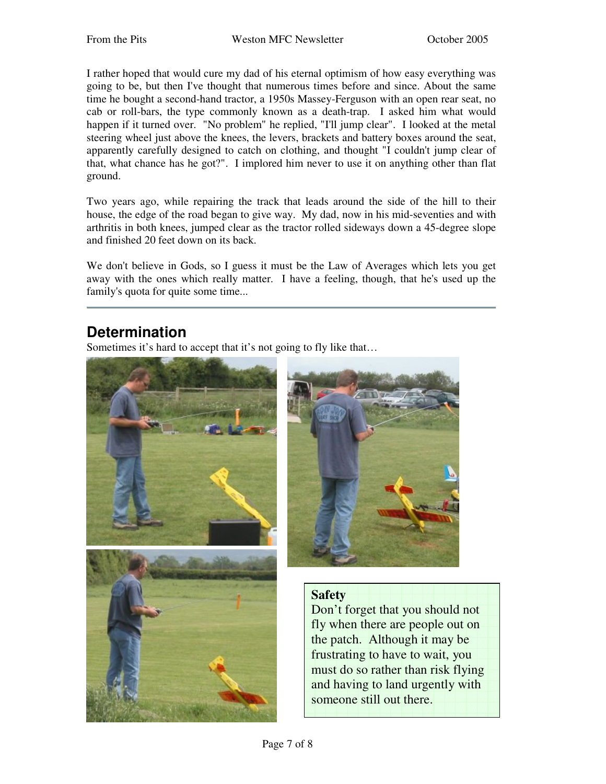I rather hoped that would cure my dad of his eternal optimism of how easy everything was going to be, but then I've thought that numerous times before and since. About the same time he bought a second-hand tractor, a 1950s Massey-Ferguson with an open rear seat, no cab or roll-bars, the type commonly known as a death-trap. I asked him what would happen if it turned over. "No problem" he replied, "I'll jump clear". I looked at the metal steering wheel just above the knees, the levers, brackets and battery boxes around the seat, apparently carefully designed to catch on clothing, and thought "I couldn't jump clear of that, what chance has he got?". I implored him never to use it on anything other than flat ground.

Two years ago, while repairing the track that leads around the side of the hill to their house, the edge of the road began to give way. My dad, now in his mid-seventies and with arthritis in both knees, jumped clear as the tractor rolled sideways down a 45-degree slope and finished 20 feet down on its back.

We don't believe in Gods, so I guess it must be the Law of Averages which lets you get away with the ones which really matter. I have a feeling, though, that he's used up the family's quota for quite some time...

#### **Determination**

Sometimes it's hard to accept that it's not going to fly like that…





#### **Safety**

Don't forget that you should not fly when there are people out on the patch. Although it may be frustrating to have to wait, you must do so rather than risk flying and having to land urgently with someone still out there.